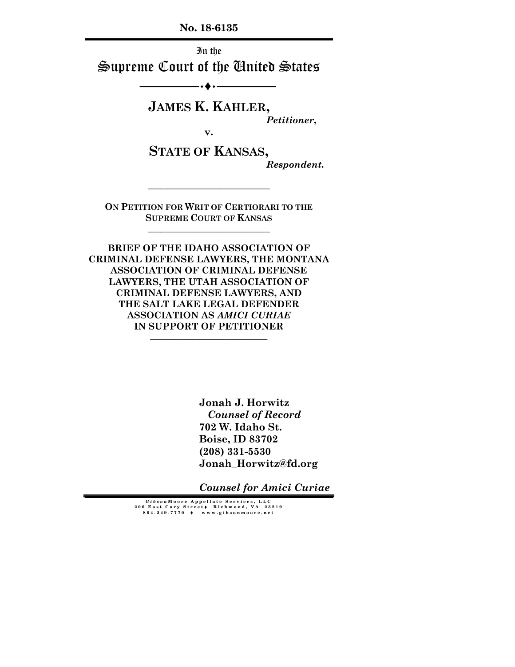**No. 18-6135** 

In the Supreme Court of the United States

 $\bullet$  .  $-$ 

**JAMES K. KAHLER,** 

*Petitioner***,** 

**v.** 

**STATE OF KANSAS,**  *Respondent.* 

**ON PETITION FOR WRIT OF CERTIORARI TO THE SUPREME COURT OF KANSAS \_\_\_\_\_\_\_\_\_\_\_\_\_\_\_\_\_\_\_\_\_\_\_\_\_\_\_\_\_** 

**\_\_\_\_\_\_\_\_\_\_\_\_\_\_\_\_\_\_\_\_\_\_\_\_\_\_\_\_\_** 

**BRIEF OF THE IDAHO ASSOCIATION OF CRIMINAL DEFENSE LAWYERS, THE MONTANA ASSOCIATION OF CRIMINAL DEFENSE LAWYERS, THE UTAH ASSOCIATION OF CRIMINAL DEFENSE LAWYERS, AND THE SALT LAKE LEGAL DEFENDER ASSOCIATION AS** *AMICI CURIAE*  **IN SUPPORT OF PETITIONER** 

**\_\_\_\_\_\_\_\_\_\_\_\_\_\_\_\_\_\_\_\_\_\_\_\_\_\_\_\_\_\_\_** 

**Jonah J. Horwitz** *Counsel of Record*  **702 W. Idaho St. Boise, ID 83702 (208) 331-5530 Jonah\_Horwitz@fd.org** 

*Counsel for Amici Curiae*

*Gibson* **Moore Appellate Services, LLC 206 East Cary Street** ♦ **Richmond, VA 23219 804-249-7770** ♦ **www.gibsonmoore.net**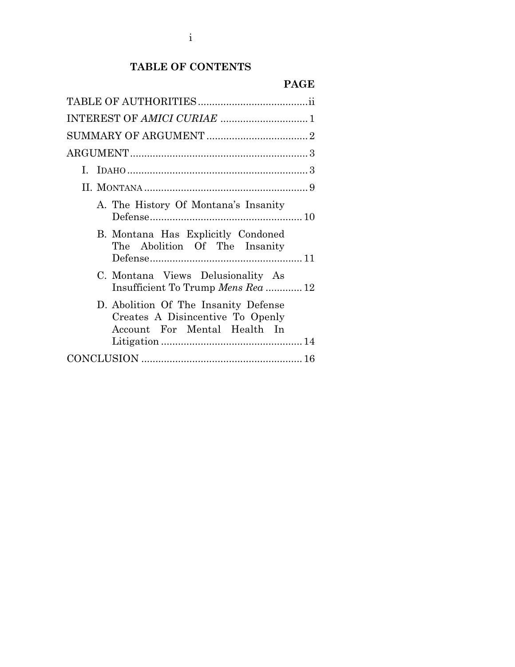# **TABLE OF CONTENTS**

|--|--|

| INTEREST OF AMICI CURIAE  1                                                                              |
|----------------------------------------------------------------------------------------------------------|
|                                                                                                          |
|                                                                                                          |
| L.                                                                                                       |
|                                                                                                          |
| A. The History Of Montana's Insanity                                                                     |
| B. Montana Has Explicitly Condoned<br>The Abolition Of The Insanity                                      |
| C. Montana Views Delusionality As<br>Insufficient To Trump Mens Rea  12                                  |
| D. Abolition Of The Insanity Defense<br>Creates A Disincentive To Openly<br>Account For Mental Health In |
|                                                                                                          |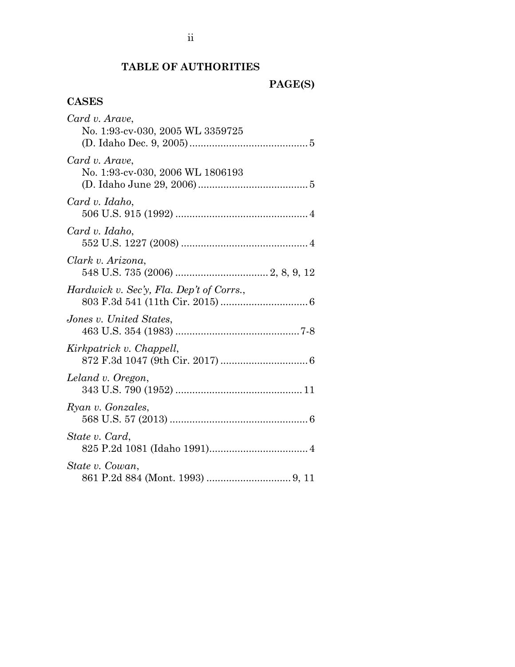# **TABLE OF AUTHORITIES**

**PAGE(S)** 

# **CASES**

| Card v. Arave,                           |  |
|------------------------------------------|--|
| No. 1:93-cv-030, 2005 WL 3359725         |  |
|                                          |  |
| Card v. Arave,                           |  |
| No. 1:93-cv-030, 2006 WL 1806193         |  |
|                                          |  |
| Card v. Idaho,                           |  |
|                                          |  |
| Card v. Idaho,                           |  |
|                                          |  |
| Clark v. Arizona,                        |  |
|                                          |  |
| Hardwick v. Sec'y, Fla. Dep't of Corrs., |  |
|                                          |  |
| Jones v. United States,                  |  |
|                                          |  |
| Kirkpatrick v. Chappell,                 |  |
|                                          |  |
| Leland v. Oregon,                        |  |
|                                          |  |
| Ryan v. Gonzales,                        |  |
|                                          |  |
| State v. Card,                           |  |
|                                          |  |
| State v. Cowan,                          |  |
|                                          |  |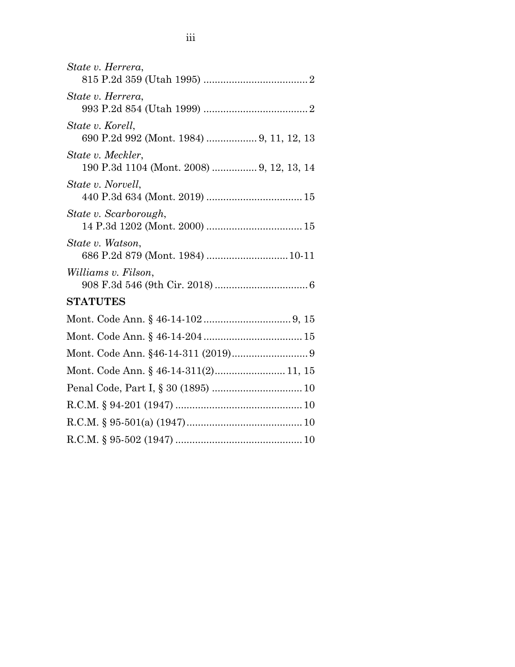| State v. Herrera,                                              |
|----------------------------------------------------------------|
| State v. Herrera,                                              |
| State v. Korell,<br>690 P.2d 992 (Mont. 1984)  9, 11, 12, 13   |
| State v. Meckler,<br>190 P.3d 1104 (Mont. 2008)  9, 12, 13, 14 |
| State v. Norvell,                                              |
| State v. Scarborough,                                          |
| State v. Watson,<br>686 P.2d 879 (Mont. 1984)  10-11           |
| Williams v. Filson,                                            |
| <b>STATUTES</b>                                                |
|                                                                |
|                                                                |
|                                                                |
| Mont. Code Ann. § 46-14-311(2) 11, 15                          |
|                                                                |
|                                                                |
|                                                                |
|                                                                |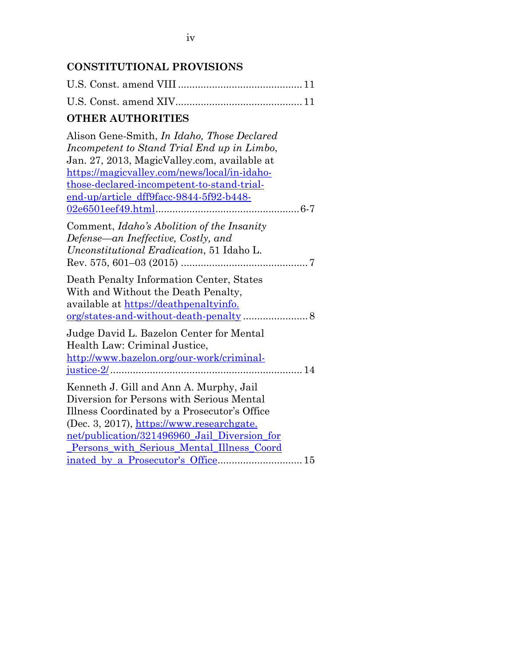# **CONSTITUTIONAL PROVISIONS**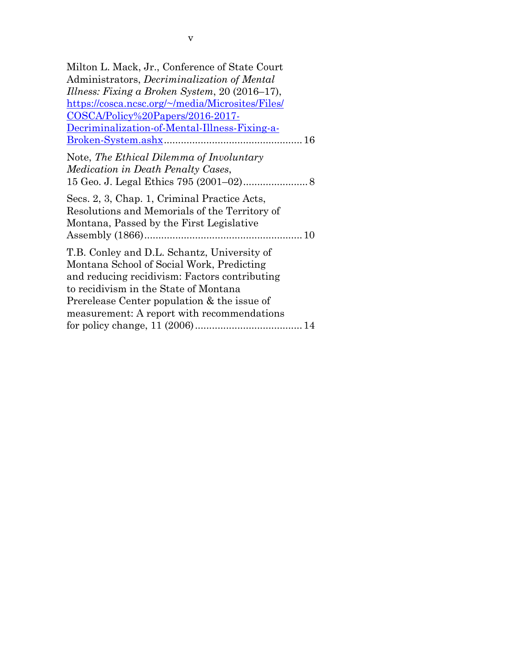| Milton L. Mack, Jr., Conference of State Court                                                                                                                                                                                                                                  |
|---------------------------------------------------------------------------------------------------------------------------------------------------------------------------------------------------------------------------------------------------------------------------------|
| Administrators, <i>Decriminalization of Mental</i>                                                                                                                                                                                                                              |
| Illness: Fixing a Broken System, 20 (2016–17),                                                                                                                                                                                                                                  |
| https://cosca.ncsc.org/~/media/Microsites/Files/                                                                                                                                                                                                                                |
| <u>COSCA/Policy%20Papers/2016-2017-</u>                                                                                                                                                                                                                                         |
| Decriminalization-of-Mental-Illness-Fixing-a-                                                                                                                                                                                                                                   |
|                                                                                                                                                                                                                                                                                 |
| Note, The Ethical Dilemma of Involuntary<br><i>Medication in Death Penalty Cases,</i>                                                                                                                                                                                           |
| Secs. 2, 3, Chap. 1, Criminal Practice Acts,<br>Resolutions and Memorials of the Territory of<br>Montana, Passed by the First Legislative                                                                                                                                       |
| T.B. Conley and D.L. Schantz, University of<br>Montana School of Social Work, Predicting<br>and reducing recidivism: Factors contributing<br>to recidivism in the State of Montana<br>Prerelease Center population & the issue of<br>measurement: A report with recommendations |
|                                                                                                                                                                                                                                                                                 |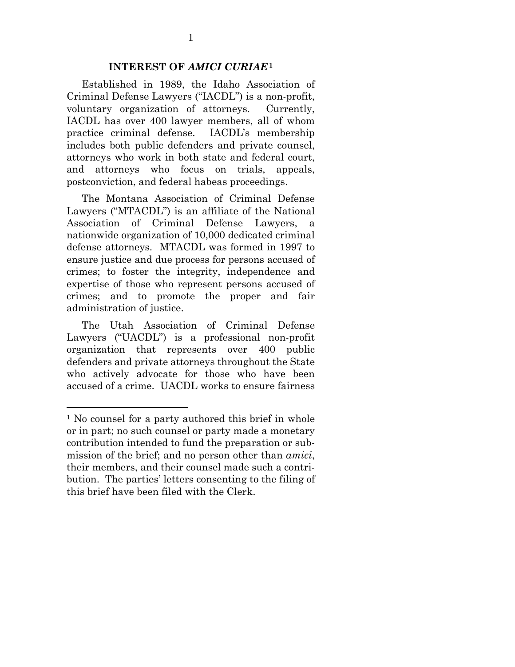#### **INTEREST OF** *AMICI CURIAE***<sup>1</sup>**

Established in 1989, the Idaho Association of Criminal Defense Lawyers ("IACDL") is a non-profit, voluntary organization of attorneys. Currently, IACDL has over 400 lawyer members, all of whom practice criminal defense. IACDL's membership includes both public defenders and private counsel, attorneys who work in both state and federal court, and attorneys who focus on trials, appeals, postconviction, and federal habeas proceedings.

The Montana Association of Criminal Defense Lawyers ("MTACDL") is an affiliate of the National Association of Criminal Defense Lawyers, a nationwide organization of 10,000 dedicated criminal defense attorneys. MTACDL was formed in 1997 to ensure justice and due process for persons accused of crimes; to foster the integrity, independence and expertise of those who represent persons accused of crimes; and to promote the proper and fair administration of justice.

The Utah Association of Criminal Defense Lawyers ("UACDL") is a professional non-profit organization that represents over 400 public defenders and private attorneys throughout the State who actively advocate for those who have been accused of a crime. UACDL works to ensure fairness

l

<sup>&</sup>lt;sup>1</sup> No counsel for a party authored this brief in whole or in part; no such counsel or party made a monetary contribution intended to fund the preparation or submission of the brief; and no person other than *amici*, their members, and their counsel made such a contribution. The parties' letters consenting to the filing of this brief have been filed with the Clerk.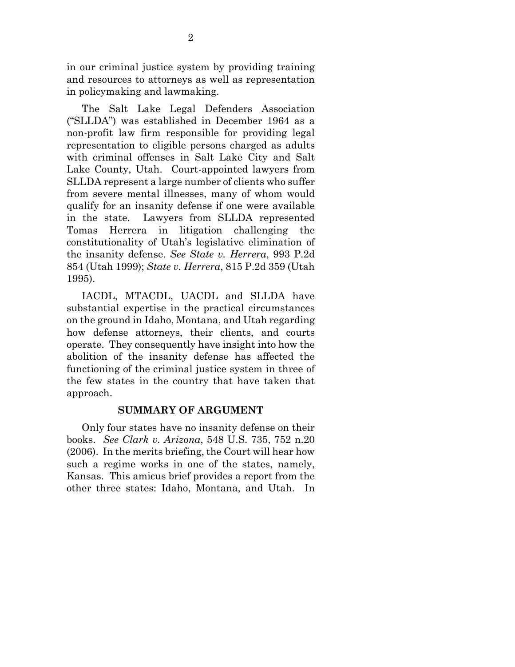in our criminal justice system by providing training and resources to attorneys as well as representation in policymaking and lawmaking.

The Salt Lake Legal Defenders Association ("SLLDA") was established in December 1964 as a non-profit law firm responsible for providing legal representation to eligible persons charged as adults with criminal offenses in Salt Lake City and Salt Lake County, Utah. Court-appointed lawyers from SLLDA represent a large number of clients who suffer from severe mental illnesses, many of whom would qualify for an insanity defense if one were available in the state. Lawyers from SLLDA represented Tomas Herrera in litigation challenging the constitutionality of Utah's legislative elimination of the insanity defense. *See State v. Herrera*, 993 P.2d 854 (Utah 1999); *State v. Herrera*, 815 P.2d 359 (Utah 1995).

IACDL, MTACDL, UACDL and SLLDA have substantial expertise in the practical circumstances on the ground in Idaho, Montana, and Utah regarding how defense attorneys, their clients, and courts operate. They consequently have insight into how the abolition of the insanity defense has affected the functioning of the criminal justice system in three of the few states in the country that have taken that approach.

#### **SUMMARY OF ARGUMENT**

Only four states have no insanity defense on their books. *See Clark v. Arizona*, 548 U.S. 735, 752 n.20 (2006). In the merits briefing, the Court will hear how such a regime works in one of the states, namely, Kansas. This amicus brief provides a report from the other three states: Idaho, Montana, and Utah. In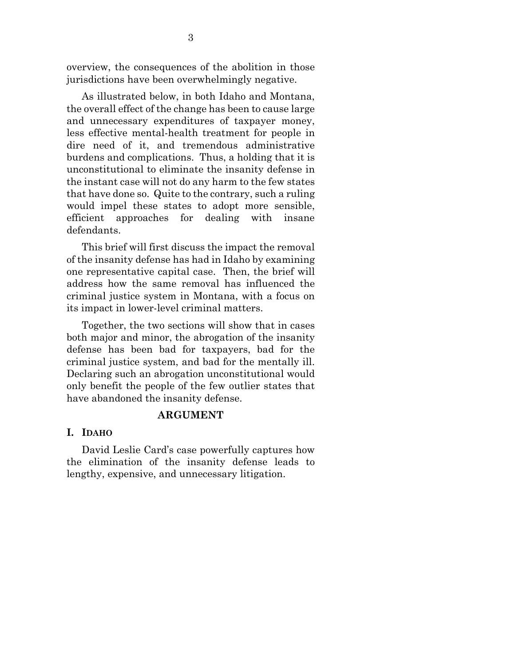overview, the consequences of the abolition in those jurisdictions have been overwhelmingly negative.

As illustrated below, in both Idaho and Montana, the overall effect of the change has been to cause large and unnecessary expenditures of taxpayer money, less effective mental-health treatment for people in dire need of it, and tremendous administrative burdens and complications. Thus, a holding that it is unconstitutional to eliminate the insanity defense in the instant case will not do any harm to the few states that have done so. Quite to the contrary, such a ruling would impel these states to adopt more sensible, efficient approaches for dealing with insane defendants.

This brief will first discuss the impact the removal of the insanity defense has had in Idaho by examining one representative capital case. Then, the brief will address how the same removal has influenced the criminal justice system in Montana, with a focus on its impact in lower-level criminal matters.

Together, the two sections will show that in cases both major and minor, the abrogation of the insanity defense has been bad for taxpayers, bad for the criminal justice system, and bad for the mentally ill. Declaring such an abrogation unconstitutional would only benefit the people of the few outlier states that have abandoned the insanity defense.

#### **ARGUMENT**

## **I. IDAHO**

David Leslie Card's case powerfully captures how the elimination of the insanity defense leads to lengthy, expensive, and unnecessary litigation.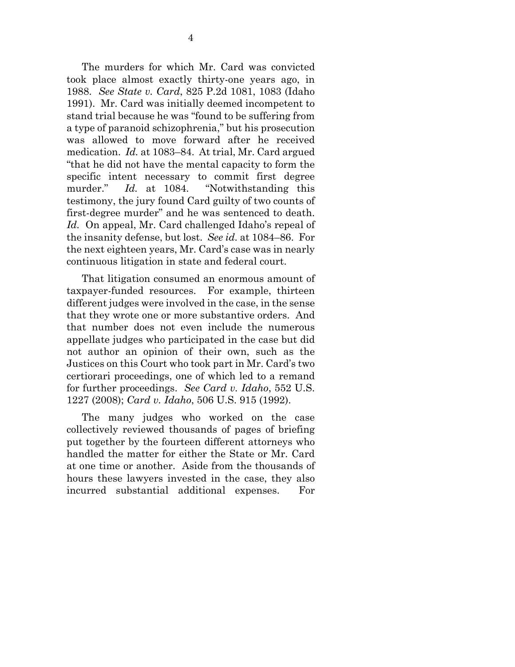The murders for which Mr. Card was convicted took place almost exactly thirty-one years ago, in 1988. *See State v. Card*, 825 P.2d 1081, 1083 (Idaho 1991). Mr. Card was initially deemed incompetent to stand trial because he was "found to be suffering from a type of paranoid schizophrenia," but his prosecution was allowed to move forward after he received medication. *Id.* at 1083–84. At trial, Mr. Card argued "that he did not have the mental capacity to form the specific intent necessary to commit first degree murder." *Id.* at 1084. "Notwithstanding this testimony, the jury found Card guilty of two counts of first-degree murder" and he was sentenced to death. *Id.* On appeal, Mr. Card challenged Idaho's repeal of the insanity defense, but lost. *See id.* at 1084–86. For the next eighteen years, Mr. Card's case was in nearly continuous litigation in state and federal court.

That litigation consumed an enormous amount of taxpayer-funded resources. For example, thirteen different judges were involved in the case, in the sense that they wrote one or more substantive orders. And that number does not even include the numerous appellate judges who participated in the case but did not author an opinion of their own, such as the Justices on this Court who took part in Mr. Card's two certiorari proceedings, one of which led to a remand for further proceedings. *See Card v. Idaho*, 552 U.S. 1227 (2008); *Card v. Idaho*, 506 U.S. 915 (1992).

The many judges who worked on the case collectively reviewed thousands of pages of briefing put together by the fourteen different attorneys who handled the matter for either the State or Mr. Card at one time or another. Aside from the thousands of hours these lawyers invested in the case, they also incurred substantial additional expenses. For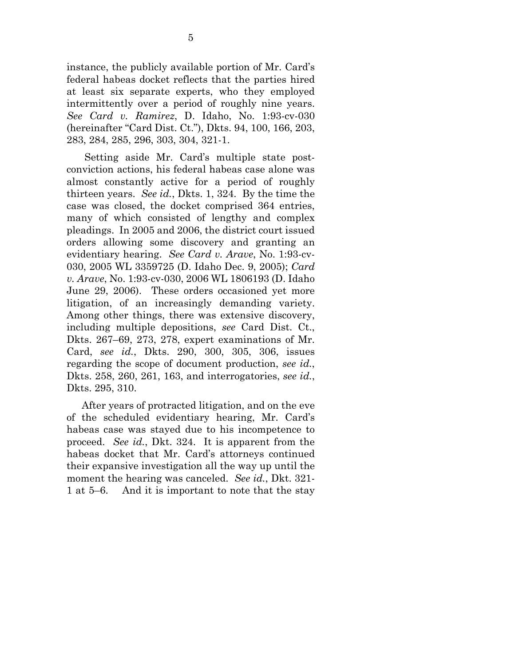instance, the publicly available portion of Mr. Card's federal habeas docket reflects that the parties hired at least six separate experts, who they employed intermittently over a period of roughly nine years. *See Card v. Ramirez*, D. Idaho, No. 1:93-cv-030 (hereinafter "Card Dist. Ct."), Dkts. 94, 100, 166, 203, 283, 284, 285, 296, 303, 304, 321-1.

 Setting aside Mr. Card's multiple state postconviction actions, his federal habeas case alone was almost constantly active for a period of roughly thirteen years. *See id.*, Dkts. 1, 324. By the time the case was closed, the docket comprised 364 entries, many of which consisted of lengthy and complex pleadings. In 2005 and 2006, the district court issued orders allowing some discovery and granting an evidentiary hearing. *See Card v. Arave*, No. 1:93-cv-030, 2005 WL 3359725 (D. Idaho Dec. 9, 2005); *Card v. Arave*, No. 1:93-cv-030, 2006 WL 1806193 (D. Idaho June 29, 2006). These orders occasioned yet more litigation, of an increasingly demanding variety. Among other things, there was extensive discovery, including multiple depositions, *see* Card Dist. Ct., Dkts. 267–69, 273, 278, expert examinations of Mr. Card, *see id.*, Dkts. 290, 300, 305, 306, issues regarding the scope of document production, *see id.*, Dkts. 258, 260, 261, 163, and interrogatories, *see id.*, Dkts. 295, 310.

After years of protracted litigation, and on the eve of the scheduled evidentiary hearing, Mr. Card's habeas case was stayed due to his incompetence to proceed. *See id.*, Dkt. 324. It is apparent from the habeas docket that Mr. Card's attorneys continued their expansive investigation all the way up until the moment the hearing was canceled. *See id.*, Dkt. 321- 1 at 5–6. And it is important to note that the stay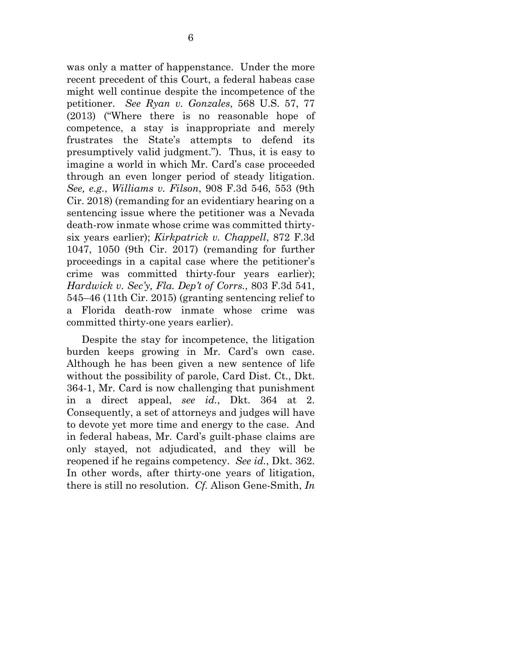was only a matter of happenstance. Under the more recent precedent of this Court, a federal habeas case might well continue despite the incompetence of the petitioner. *See Ryan v. Gonzales*, 568 U.S. 57, 77 (2013) ("Where there is no reasonable hope of competence, a stay is inappropriate and merely frustrates the State's attempts to defend its presumptively valid judgment."). Thus, it is easy to imagine a world in which Mr. Card's case proceeded through an even longer period of steady litigation. *See, e.g.*, *Williams v. Filson*, 908 F.3d 546, 553 (9th Cir. 2018) (remanding for an evidentiary hearing on a sentencing issue where the petitioner was a Nevada death-row inmate whose crime was committed thirtysix years earlier); *Kirkpatrick v. Chappell*, 872 F.3d 1047, 1050 (9th Cir. 2017) (remanding for further proceedings in a capital case where the petitioner's crime was committed thirty-four years earlier); *Hardwick v. Sec'y, Fla. Dep't of Corrs.*, 803 F.3d 541, 545–46 (11th Cir. 2015) (granting sentencing relief to a Florida death-row inmate whose crime was committed thirty-one years earlier).

Despite the stay for incompetence, the litigation burden keeps growing in Mr. Card's own case. Although he has been given a new sentence of life without the possibility of parole, Card Dist. Ct., Dkt. 364-1, Mr. Card is now challenging that punishment in a direct appeal, *see id.*, Dkt. 364 at 2. Consequently, a set of attorneys and judges will have to devote yet more time and energy to the case. And in federal habeas, Mr. Card's guilt-phase claims are only stayed, not adjudicated, and they will be reopened if he regains competency. *See id.*, Dkt. 362. In other words, after thirty-one years of litigation, there is still no resolution. *Cf.* Alison Gene-Smith, *In*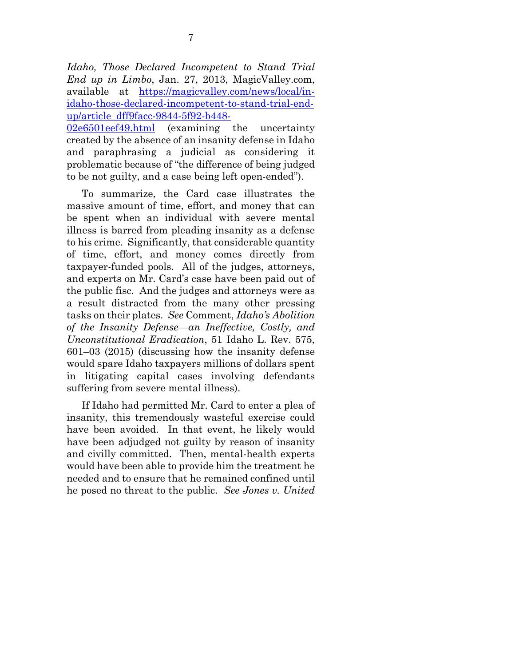*Idaho, Those Declared Incompetent to Stand Trial End up in Limbo*, Jan. 27, 2013, MagicValley.com, available at <u>https://magicvalley.com/news/local/in-</u> idaho-those-declared-incompetent-to-stand-trial-endup/article\_dff9facc-9844-5f92-b448-

02e6501eef49.html (examining the uncertainty created by the absence of an insanity defense in Idaho and paraphrasing a judicial as considering it problematic because of "the difference of being judged to be not guilty, and a case being left open-ended").

To summarize, the Card case illustrates the massive amount of time, effort, and money that can be spent when an individual with severe mental illness is barred from pleading insanity as a defense to his crime. Significantly, that considerable quantity of time, effort, and money comes directly from taxpayer-funded pools. All of the judges, attorneys, and experts on Mr. Card's case have been paid out of the public fisc. And the judges and attorneys were as a result distracted from the many other pressing tasks on their plates. *See* Comment, *Idaho's Abolition of the Insanity Defense—an Ineffective, Costly, and Unconstitutional Eradication*, 51 Idaho L. Rev. 575, 601–03 (2015) (discussing how the insanity defense would spare Idaho taxpayers millions of dollars spent in litigating capital cases involving defendants suffering from severe mental illness).

If Idaho had permitted Mr. Card to enter a plea of insanity, this tremendously wasteful exercise could have been avoided. In that event, he likely would have been adjudged not guilty by reason of insanity and civilly committed. Then, mental-health experts would have been able to provide him the treatment he needed and to ensure that he remained confined until he posed no threat to the public. *See Jones v. United*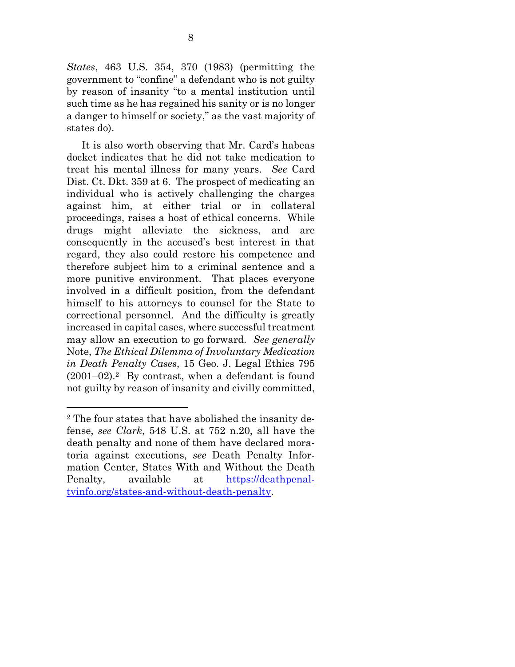*States*, 463 U.S. 354, 370 (1983) (permitting the government to "confine" a defendant who is not guilty by reason of insanity "to a mental institution until such time as he has regained his sanity or is no longer a danger to himself or society," as the vast majority of states do).

It is also worth observing that Mr. Card's habeas docket indicates that he did not take medication to treat his mental illness for many years. *See* Card Dist. Ct. Dkt. 359 at 6. The prospect of medicating an individual who is actively challenging the charges against him, at either trial or in collateral proceedings, raises a host of ethical concerns. While drugs might alleviate the sickness, and are consequently in the accused's best interest in that regard, they also could restore his competence and therefore subject him to a criminal sentence and a more punitive environment. That places everyone involved in a difficult position, from the defendant himself to his attorneys to counsel for the State to correctional personnel. And the difficulty is greatly increased in capital cases, where successful treatment may allow an execution to go forward. *See generally*  Note, *The Ethical Dilemma of Involuntary Medication in Death Penalty Cases*, 15 Geo. J. Legal Ethics 795  $(2001-02).$ <sup>2</sup> By contrast, when a defendant is found not guilty by reason of insanity and civilly committed,

l

<sup>2</sup> The four states that have abolished the insanity defense, *see Clark*, 548 U.S. at 752 n.20, all have the death penalty and none of them have declared moratoria against executions, *see* Death Penalty Information Center, States With and Without the Death Penalty, available at https://deathpenaltyinfo.org/states-and-without-death-penalty.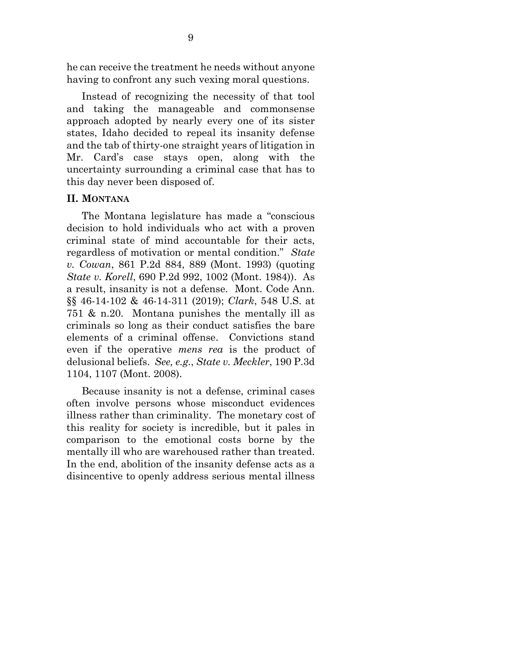he can receive the treatment he needs without anyone having to confront any such vexing moral questions.

Instead of recognizing the necessity of that tool and taking the manageable and commonsense approach adopted by nearly every one of its sister states, Idaho decided to repeal its insanity defense and the tab of thirty-one straight years of litigation in Mr. Card's case stays open, along with the uncertainty surrounding a criminal case that has to this day never been disposed of.

#### **II. MONTANA**

The Montana legislature has made a "conscious decision to hold individuals who act with a proven criminal state of mind accountable for their acts, regardless of motivation or mental condition." *State v. Cowan*, 861 P.2d 884, 889 (Mont. 1993) (quoting *State v. Korell*, 690 P.2d 992, 1002 (Mont. 1984)). As a result, insanity is not a defense. Mont. Code Ann. §§ 46-14-102 & 46-14-311 (2019); *Clark*, 548 U.S. at 751 & n.20. Montana punishes the mentally ill as criminals so long as their conduct satisfies the bare elements of a criminal offense. Convictions stand even if the operative *mens rea* is the product of delusional beliefs. *See, e.g.*, *State v. Meckler*, 190 P.3d 1104, 1107 (Mont. 2008).

Because insanity is not a defense, criminal cases often involve persons whose misconduct evidences illness rather than criminality. The monetary cost of this reality for society is incredible, but it pales in comparison to the emotional costs borne by the mentally ill who are warehoused rather than treated. In the end, abolition of the insanity defense acts as a disincentive to openly address serious mental illness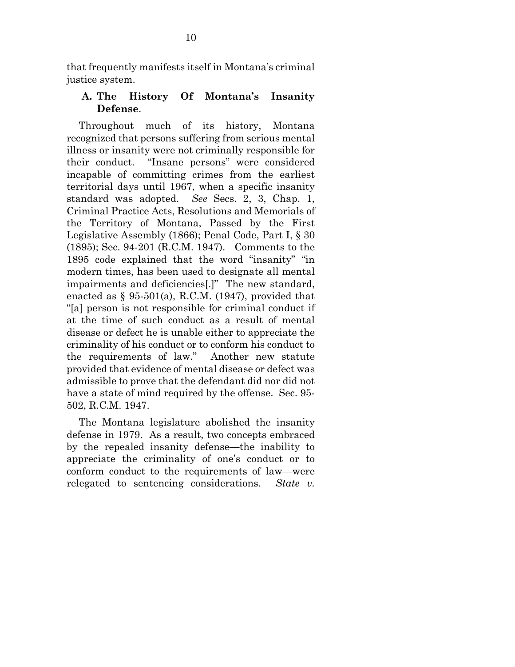that frequently manifests itself in Montana's criminal justice system.

# **A. The History Of Montana's Insanity Defense**.

Throughout much of its history, Montana recognized that persons suffering from serious mental illness or insanity were not criminally responsible for their conduct. "Insane persons" were considered incapable of committing crimes from the earliest territorial days until 1967, when a specific insanity standard was adopted. *See* Secs. 2, 3, Chap. 1, Criminal Practice Acts, Resolutions and Memorials of the Territory of Montana, Passed by the First Legislative Assembly (1866); Penal Code, Part I, § 30 (1895); Sec. 94-201 (R.C.M. 1947). Comments to the 1895 code explained that the word "insanity" "in modern times, has been used to designate all mental impairments and deficiencies[.]" The new standard, enacted as  $\S$  95-501(a), R.C.M. (1947), provided that "[a] person is not responsible for criminal conduct if at the time of such conduct as a result of mental disease or defect he is unable either to appreciate the criminality of his conduct or to conform his conduct to the requirements of law." Another new statute provided that evidence of mental disease or defect was admissible to prove that the defendant did nor did not have a state of mind required by the offense. Sec. 95- 502, R.C.M. 1947.

The Montana legislature abolished the insanity defense in 1979. As a result, two concepts embraced by the repealed insanity defense—the inability to appreciate the criminality of one's conduct or to conform conduct to the requirements of law—were relegated to sentencing considerations. *State v.*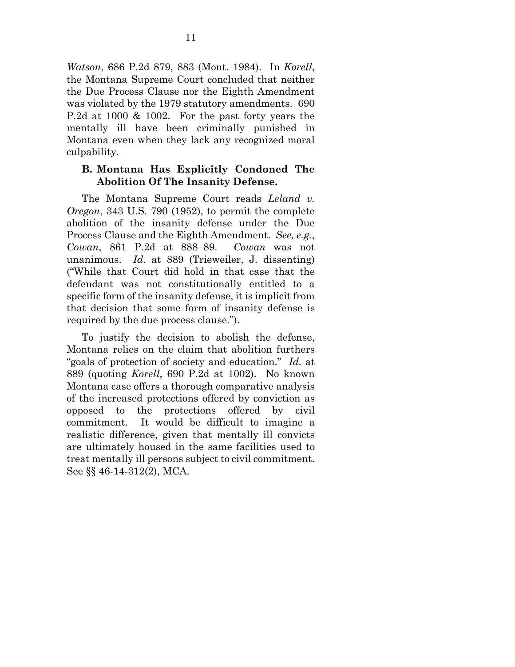*Watson*, 686 P.2d 879, 883 (Mont. 1984). In *Korell*, the Montana Supreme Court concluded that neither the Due Process Clause nor the Eighth Amendment was violated by the 1979 statutory amendments. 690 P.2d at 1000 & 1002. For the past forty years the mentally ill have been criminally punished in Montana even when they lack any recognized moral culpability.

## **B. Montana Has Explicitly Condoned The Abolition Of The Insanity Defense.**

The Montana Supreme Court reads *Leland v. Oregon*, 343 U.S. 790 (1952), to permit the complete abolition of the insanity defense under the Due Process Clause and the Eighth Amendment. *See, e.g.*, *Cowan*, 861 P.2d at 888–89. *Cowan* was not unanimous. *Id.* at 889 (Trieweiler, J. dissenting) ("While that Court did hold in that case that the defendant was not constitutionally entitled to a specific form of the insanity defense, it is implicit from that decision that some form of insanity defense is required by the due process clause.").

To justify the decision to abolish the defense, Montana relies on the claim that abolition furthers "goals of protection of society and education." *Id.* at 889 (quoting *Korell*, 690 P.2d at 1002). No known Montana case offers a thorough comparative analysis of the increased protections offered by conviction as opposed to the protections offered by civil commitment. It would be difficult to imagine a realistic difference, given that mentally ill convicts are ultimately housed in the same facilities used to treat mentally ill persons subject to civil commitment. See §§ 46-14-312(2), MCA.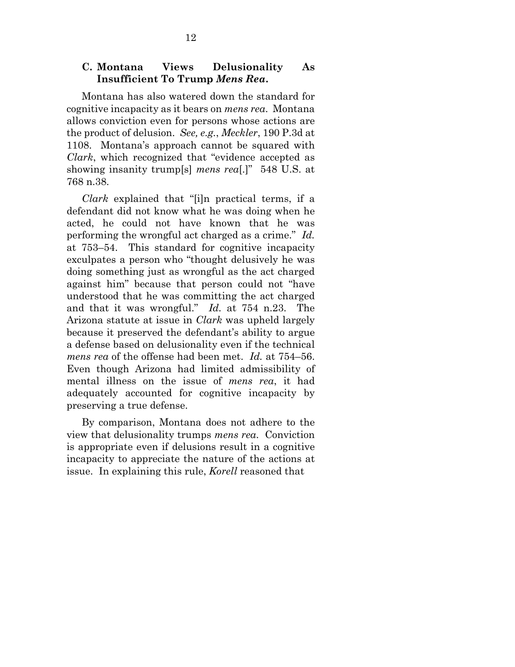## **C. Montana Views Delusionality As Insufficient To Trump** *Mens Rea***.**

Montana has also watered down the standard for cognitive incapacity as it bears on *mens rea*. Montana allows conviction even for persons whose actions are the product of delusion. *See, e.g.*, *Meckler*, 190 P.3d at 1108. Montana's approach cannot be squared with *Clark*, which recognized that "evidence accepted as showing insanity trump[s] *mens rea*[.]" 548 U.S. at 768 n.38.

*Clark* explained that "[i]n practical terms, if a defendant did not know what he was doing when he acted, he could not have known that he was performing the wrongful act charged as a crime." *Id.* at 753–54. This standard for cognitive incapacity exculpates a person who "thought delusively he was doing something just as wrongful as the act charged against him" because that person could not "have understood that he was committing the act charged and that it was wrongful." *Id.* at 754 n.23. The Arizona statute at issue in *Clark* was upheld largely because it preserved the defendant's ability to argue a defense based on delusionality even if the technical *mens rea* of the offense had been met. *Id.* at 754–56. Even though Arizona had limited admissibility of mental illness on the issue of *mens rea*, it had adequately accounted for cognitive incapacity by preserving a true defense.

By comparison, Montana does not adhere to the view that delusionality trumps *mens rea*. Conviction is appropriate even if delusions result in a cognitive incapacity to appreciate the nature of the actions at issue. In explaining this rule, *Korell* reasoned that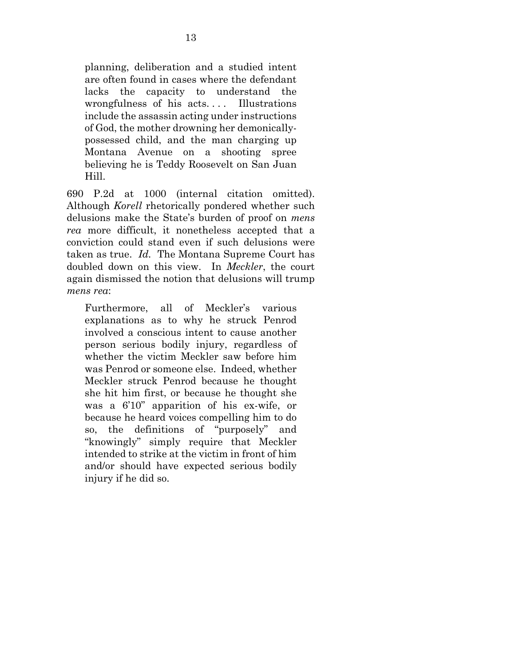planning, deliberation and a studied intent are often found in cases where the defendant lacks the capacity to understand the wrongfulness of his acts.... Illustrations include the assassin acting under instructions of God, the mother drowning her demonicallypossessed child, and the man charging up Montana Avenue on a shooting spree believing he is Teddy Roosevelt on San Juan Hill.

690 P.2d at 1000 (internal citation omitted). Although *Korell* rhetorically pondered whether such delusions make the State's burden of proof on *mens rea* more difficult, it nonetheless accepted that a conviction could stand even if such delusions were taken as true. *Id.* The Montana Supreme Court has doubled down on this view. In *Meckler*, the court again dismissed the notion that delusions will trump *mens rea*:

Furthermore, all of Meckler's various explanations as to why he struck Penrod involved a conscious intent to cause another person serious bodily injury, regardless of whether the victim Meckler saw before him was Penrod or someone else. Indeed, whether Meckler struck Penrod because he thought she hit him first, or because he thought she was a 6'10" apparition of his ex-wife, or because he heard voices compelling him to do so, the definitions of "purposely" and "knowingly" simply require that Meckler intended to strike at the victim in front of him and/or should have expected serious bodily injury if he did so.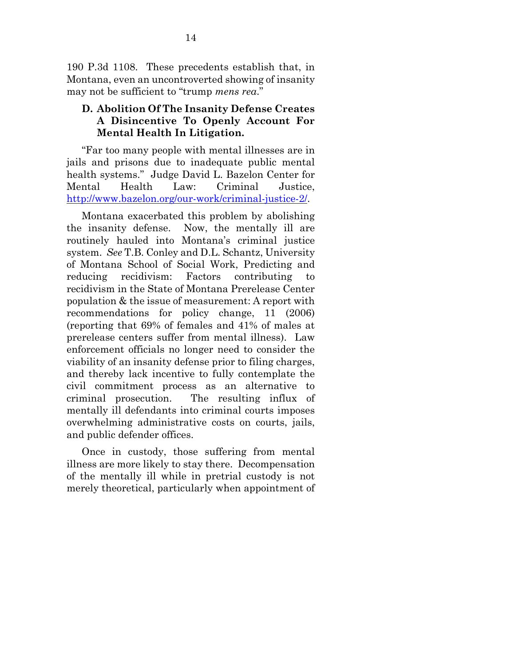190 P.3d 1108. These precedents establish that, in Montana, even an uncontroverted showing of insanity may not be sufficient to "trump *mens rea*."

## **D. Abolition Of The Insanity Defense Creates A Disincentive To Openly Account For Mental Health In Litigation.**

"Far too many people with mental illnesses are in jails and prisons due to inadequate public mental health systems." Judge David L. Bazelon Center for Mental Health Law: Criminal Justice, http://www.bazelon.org/our-work/criminal-justice-2/.

Montana exacerbated this problem by abolishing the insanity defense. Now, the mentally ill are routinely hauled into Montana's criminal justice system. *See* T.B. Conley and D.L. Schantz, University of Montana School of Social Work, Predicting and reducing recidivism: Factors contributing to recidivism in the State of Montana Prerelease Center population & the issue of measurement: A report with recommendations for policy change, 11 (2006) (reporting that 69% of females and 41% of males at prerelease centers suffer from mental illness). Law enforcement officials no longer need to consider the viability of an insanity defense prior to filing charges, and thereby lack incentive to fully contemplate the civil commitment process as an alternative to criminal prosecution. The resulting influx of mentally ill defendants into criminal courts imposes overwhelming administrative costs on courts, jails, and public defender offices.

Once in custody, those suffering from mental illness are more likely to stay there. Decompensation of the mentally ill while in pretrial custody is not merely theoretical, particularly when appointment of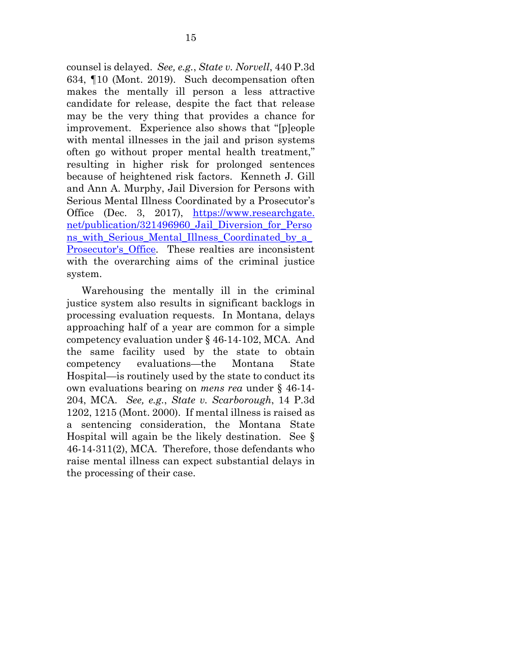counsel is delayed. *See, e.g.*, *State v. Norvell*, 440 P.3d 634, ¶10 (Mont. 2019). Such decompensation often makes the mentally ill person a less attractive candidate for release, despite the fact that release may be the very thing that provides a chance for improvement. Experience also shows that "[p]eople with mental illnesses in the jail and prison systems often go without proper mental health treatment," resulting in higher risk for prolonged sentences because of heightened risk factors. Kenneth J. Gill and Ann A. Murphy, Jail Diversion for Persons with Serious Mental Illness Coordinated by a Prosecutor's Office (Dec. 3, 2017), https://www.researchgate. net/publication/321496960\_Jail\_Diversion\_for\_Perso ns\_with\_Serious\_Mental\_Illness\_Coordinated\_by\_a\_ Prosecutor's\_Office. These realties are inconsistent with the overarching aims of the criminal justice system.

Warehousing the mentally ill in the criminal justice system also results in significant backlogs in processing evaluation requests. In Montana, delays approaching half of a year are common for a simple competency evaluation under § 46-14-102, MCA. And the same facility used by the state to obtain competency evaluations—the Montana State Hospital—is routinely used by the state to conduct its own evaluations bearing on *mens rea* under § 46-14- 204, MCA. *See, e.g.*, *State v. Scarborough*, 14 P.3d 1202, 1215 (Mont. 2000). If mental illness is raised as a sentencing consideration, the Montana State Hospital will again be the likely destination. See § 46-14-311(2), MCA. Therefore, those defendants who raise mental illness can expect substantial delays in the processing of their case.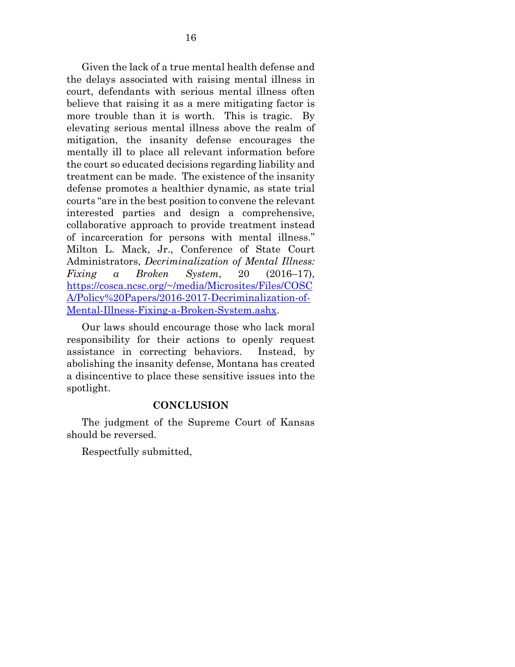Given the lack of a true mental health defense and the delays associated with raising mental illness in court, defendants with serious mental illness often believe that raising it as a mere mitigating factor is more trouble than it is worth. This is tragic. By elevating serious mental illness above the realm of mitigation, the insanity defense encourages the mentally ill to place all relevant information before the court so educated decisions regarding liability and treatment can be made. The existence of the insanity defense promotes a healthier dynamic, as state trial courts "are in the best position to convene the relevant interested parties and design a comprehensive, collaborative approach to provide treatment instead of incarceration for persons with mental illness." Milton L. Mack, Jr., Conference of State Court Administrators, *Decriminalization of Mental Illness: Fixing a Broken System*, 20 (2016–17), https://cosca.ncsc.org/~/media/Microsites/Files/COSC A/Policy%20Papers/2016-2017-Decriminalization-of-Mental-Illness-Fixing-a-Broken-System.ashx.

Our laws should encourage those who lack moral responsibility for their actions to openly request assistance in correcting behaviors. Instead, by abolishing the insanity defense, Montana has created a disincentive to place these sensitive issues into the spotlight.

#### **CONCLUSION**

The judgment of the Supreme Court of Kansas should be reversed.

Respectfully submitted,